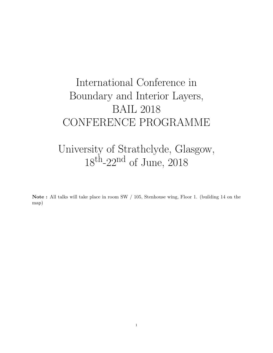# International Conference in Boundary and Interior Layers, BAIL 2018 CONFERENCE PROGRAMME

## University of Strathclyde, Glasgow,  $18^{\text{th}}$ -22<sup>nd</sup> of June, 2018

Note : All talks will take place in room SW / 105, Stenhouse wing, Floor 1. (building 14 on the map)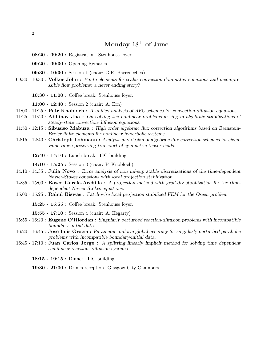#### Monday  $18<sup>th</sup>$  of June

- 08:20 09:20 : Registration. Stenhouse foyer.
- 09:20 09:30 : Opening Remarks.
- 09:30 10:30 : Session 1 (chair: G.R. Barrenechea)
- 09:30 10:30 : Volker John : Finite elements for scalar convection-dominated equations and incompressible flow problems: a never ending story?
	- 10:30 11:00 : Coffee break. Stenhouse foyer.

11:00 - 12:40 : Session 2 (chair: A. Ern)

- $11:00$   $11:25$ : **Petr Knobloch**: A unified analysis of AFC schemes for convection-diffusion equations.
- $11:25$   $11:50$ : Abhinav Jha: On solving the nonlinear problems arising in algebraic stabilizations of steady-state convection-diffusion equations.
- 11:50 12:15 : Sibusiso Mabuza : High order algebraic flux correction algorithms based on Bernstein-Bezier finite elements for nonlinear hyperbolic systems.
- 12:15 12:40 : Christoph Lohmann : Analysis and design of algebraic flux correction schemes for eigenvalue range preserving transport of symmetric tensor fields.

12:40 - 14:10 : Lunch break. TIC building.

14:10 - 15:25 : Session 3 (chair: P. Knobloch)

- 14:10 14:35 : Julia Novo : Error analysis of non inf-sup stable discretizations of the time-dependent Navier-Stokes equations with local projection stabilization.
- $14:35$  15:00 : Bosco García-Archilla : A projection method with grad-div stabilization for the timedependent Navier-Stokes equations.
- 15:00 15:25 : Rahul Biswas : Patch-wise local projection stabilized FEM for the Oseen problem.

15:25 - 15:55 : Coffee break. Stenhouse foyer.

15:55 - 17:10 : Session 4 (chair: A. Hegarty)

- $15:55$  16:20 : **Eugene O'Riordan :** Singularly perturbed reaction-diffusion problems with incompatible boundary-initial data.
- $16:20$   $16:45$ : José Luis Gracia : Parameter-uniform global accuracy for singularly perturbed parabolic problems with incompatible boundary-initial data.
- 16:45 17:10 : Juan Carlos Jorge : A splitting linearly implicit method for solving time dependent semilinear reaction- diffusion systems.

18:15 - 19:15 : Dinner. TIC building.

19:30 - 21:00 : Drinks reception. Glasgow City Chambers.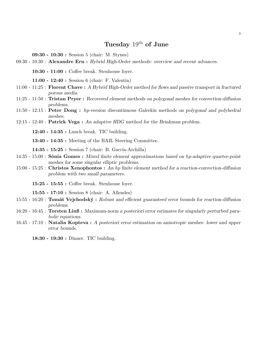#### Tuesday  $19^{th}$  of June

09:30 - 10:30 : Session 5 (chair: M. Stynes)

09:30 - 10:30 : Alexandre Ern : Hybrid High-Order methods: overview and recent advances.

10:30 - 11:00 : Coffee break. Stenhouse foyer.

11:00 - 12:40 : Session 6 (chair: F. Valentin)

- 11:00 11:25 : Florent Chave : A Hybrid High-Order method for flows and passive transport in fractured porous media.
- 11:25 11:50 : Tristan Pryer : Recovered element methods on polygonal meshes for convection-diffusion problems.
- 11:50 12:15 : Peter Dong : hp-version discontinuous Galerkin methods on polygonal and polyhedral meshes.
- 12:15 12:40 : Patrick Vega : An adaptive HDG method for the Brinkman problem.

12:40 - 14:35 : Lunch break. TIC building.

13:40 - 14:35 : Meeting of the BAIL Steering Committee.

14:35 - 15:25 : Session 7 (chair: B. García-Archilla)

- $14:35$  15:00 : Sônia Gomes : Mixed finite element approximations based on hp-adaptive quarter-point meshes for some singular elliptic problems.
- 15:00 15:25 : Christos Xenophontos : An hp finite element method for a reaction-convection-diffusion problem with two small parameters.
	- 15:25 15:55 : Coffee break. Stenhouse foyer.

15:55 - 17:10 : Session 8 (chair: A. Allendes)

- $15:55$  16:20 : **Tomáš Vejchodský**: Robust and efficient guaranteed error bounds for reaction-diffusion problems.
- 16:20 16:45 : Torsten Linß : Maximum-norm a posteriori error estimates for singularly perturbed parabolic equations.
- 16:45 17:10 : Natalia Kopteva : A posteriori error estimation on anisotropic meshes: lower and upper error bounds.

18:30 - 19:30 : Dinner. TIC building.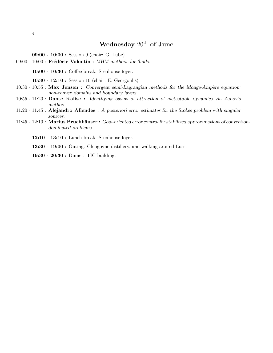### Wednesday  $20^{\text{th}}$  of June

09:00 - 10:00 : Session 9 (chair: G. Lube)

09:00 - 10:00 : Frédéric Valentin : MHM methods for fluids.

10:00 - 10:30 : Coffee break. Stenhouse foyer.

10:30 - 12:10 : Session 10 (chair: E. Georgoulis)

 $10:30$  -  $10:55$ : Max Jensen: Convergent semi-Lagrangian methods for the Monge-Ampère equation: non-convex domains and boundary layers.

- 10:55 11:20 : Dante Kalise : Identifying basins of attraction of metastable dynamics via Zubov's method.
- 11:20 11:45 : Alejandro Allendes : A posteriori error estimates for the Stokes problem with singular sources.
- 11:45 12:10 : Marius Bruchhäuser : Goal-oriented error control for stabilized approximations of convectiondominated problems.
	- 12:10 13:10 : Lunch break. Stenhouse foyer.
	- 13:30 19:00 : Outing. Glengoyne distillery, and walking around Luss.

19:30 - 20:30 : Dinner. TIC building.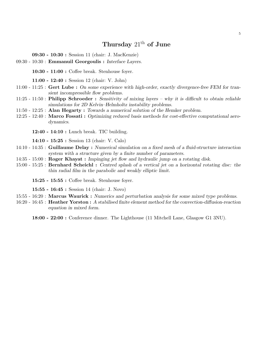#### Thursday  $21<sup>th</sup>$  of June

09:30 - 10:30 : Session 11 (chair: J. MacKenzie)

09:30 - 10:30 : Emmanuil Georgoulis : Interface Layers.

10:30 - 11:00 : Coffee break. Stenhouse foyer.

11:00 - 12:40 : Session 12 (chair: V. John)

- 11:00 11:25 : Gert Lube : On some experience with high-order, exactly divergence-free FEM for transient incompressible flow problems.
- 11:25 11:50 : Philipp Schroeder : Sensitivity of mixing layers why it is difficult to obtain reliable simulations for 2D Kelvin–Helmholtz instability problems.
- 11:50 12:25 : Alan Hegarty : Towards a numerical solution of the Hemker problem.
- 12:25 12:40 : Marco Fossati : Optimizing reduced basis methods for cost-effective computational aerodynamics.

12:40 - 14:10 : Lunch break. TIC building.

14:10 - 15:25 : Session 13 (chair: V. Calo)

- 14:10 14:35 : Guillaume Delay : Numerical simulation on a fixed mesh of a fluid-structure interaction system with a structure given by a finite number of parameters.
- 14:35 15:00 : Roger Khayat : Impinging jet flow and hydraulic jump on a rotating disk.
- 15:00 15:25 : Bernhard Scheichl : Centred splash of a vertical jet on a horizontal rotating disc: the thin radial film in the parabolic and weakly elliptic limit.

15:25 - 15:55 : Coffee break. Stenhouse foyer.

15:55 - 16:45 : Session 14 (chair: J. Novo)

- 15:55 16:20 : Marcus Waurick : Numerics and perturbation analysis for some mixed type problems.
- 16:20 16:45 : Heather Yorston : A stabilised finite element method for the convection-diffusion-reaction equation in mixed form.

18:00 - 22:00 : Conference dinner. The Lighthouse (11 Mitchell Lane, Glasgow G1 3NU).